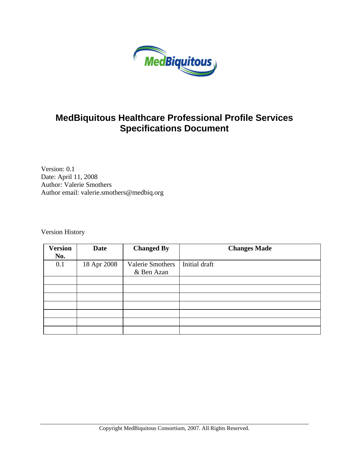

## **MedBiquitous Healthcare Professional Profile Services Specifications Document**

Version: 0.1 Date: April 11, 2008 Author: Valerie Smothers Author email: valerie.smothers@medbiq.org

Version History

| <b>Version</b><br>No. | <b>Date</b> | <b>Changed By</b>                     | <b>Changes Made</b> |
|-----------------------|-------------|---------------------------------------|---------------------|
| 0.1                   | 18 Apr 2008 | <b>Valerie Smothers</b><br>& Ben Azan | Initial draft       |
|                       |             |                                       |                     |
|                       |             |                                       |                     |
|                       |             |                                       |                     |
|                       |             |                                       |                     |
|                       |             |                                       |                     |
|                       |             |                                       |                     |
|                       |             |                                       |                     |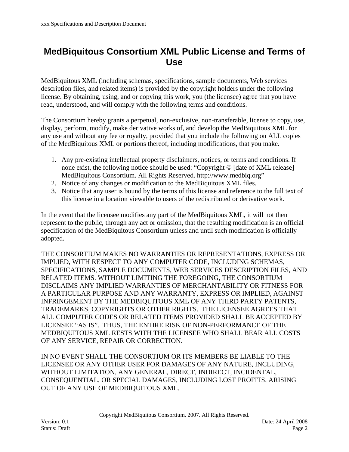## <span id="page-1-0"></span>**MedBiquitous Consortium XML Public License and Terms of Use**

MedBiquitous XML (including schemas, specifications, sample documents, Web services description files, and related items) is provided by the copyright holders under the following license. By obtaining, using, and or copying this work, you (the licensee) agree that you have read, understood, and will comply with the following terms and conditions.

The Consortium hereby grants a perpetual, non-exclusive, non-transferable, license to copy, use, display, perform, modify, make derivative works of, and develop the MedBiquitous XML for any use and without any fee or royalty, provided that you include the following on ALL copies of the MedBiquitous XML or portions thereof, including modifications, that you make.

- 1. Any pre-existing intellectual property disclaimers, notices, or terms and conditions. If none exist, the following notice should be used: "Copyright © [date of XML release] MedBiquitous Consortium. All Rights Reserved. http://www.medbiq.org"
- 2. Notice of any changes or modification to the MedBiquitous XML files.
- 3. Notice that any user is bound by the terms of this license and reference to the full text of this license in a location viewable to users of the redistributed or derivative work.

In the event that the licensee modifies any part of the MedBiquitous XML, it will not then represent to the public, through any act or omission, that the resulting modification is an official specification of the MedBiquitous Consortium unless and until such modification is officially adopted.

THE CONSORTIUM MAKES NO WARRANTIES OR REPRESENTATIONS, EXPRESS OR IMPLIED, WITH RESPECT TO ANY COMPUTER CODE, INCLUDING SCHEMAS, SPECIFICATIONS, SAMPLE DOCUMENTS, WEB SERVICES DESCRIPTION FILES, AND RELATED ITEMS. WITHOUT LIMITING THE FOREGOING, THE CONSORTIUM DISCLAIMS ANY IMPLIED WARRANTIES OF MERCHANTABILITY OR FITNESS FOR A PARTICULAR PURPOSE AND ANY WARRANTY, EXPRESS OR IMPLIED, AGAINST INFRINGEMENT BY THE MEDBIQUITOUS XML OF ANY THIRD PARTY PATENTS, TRADEMARKS, COPYRIGHTS OR OTHER RIGHTS. THE LICENSEE AGREES THAT ALL COMPUTER CODES OR RELATED ITEMS PROVIDED SHALL BE ACCEPTED BY LICENSEE "AS IS". THUS, THE ENTIRE RISK OF NON-PERFORMANCE OF THE MEDBIQUITOUS XML RESTS WITH THE LICENSEE WHO SHALL BEAR ALL COSTS OF ANY SERVICE, REPAIR OR CORRECTION.

IN NO EVENT SHALL THE CONSORTIUM OR ITS MEMBERS BE LIABLE TO THE LICENSEE OR ANY OTHER USER FOR DAMAGES OF ANY NATURE, INCLUDING, WITHOUT LIMITATION, ANY GENERAL, DIRECT, INDIRECT, INCIDENTAL, CONSEQUENTIAL, OR SPECIAL DAMAGES, INCLUDING LOST PROFITS, ARISING OUT OF ANY USE OF MEDBIQUITOUS XML.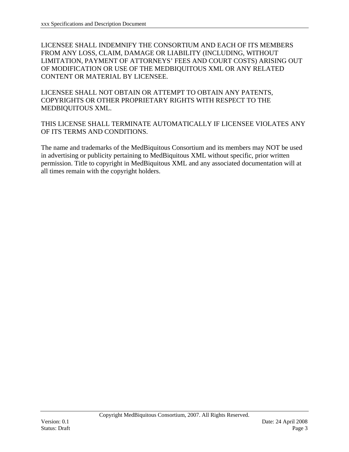LICENSEE SHALL INDEMNIFY THE CONSORTIUM AND EACH OF ITS MEMBERS FROM ANY LOSS, CLAIM, DAMAGE OR LIABILITY (INCLUDING, WITHOUT LIMITATION, PAYMENT OF ATTORNEYS' FEES AND COURT COSTS) ARISING OUT OF MODIFICATION OR USE OF THE MEDBIQUITOUS XML OR ANY RELATED CONTENT OR MATERIAL BY LICENSEE.

LICENSEE SHALL NOT OBTAIN OR ATTEMPT TO OBTAIN ANY PATENTS, COPYRIGHTS OR OTHER PROPRIETARY RIGHTS WITH RESPECT TO THE MEDBIQUITOUS XML.

THIS LICENSE SHALL TERMINATE AUTOMATICALLY IF LICENSEE VIOLATES ANY OF ITS TERMS AND CONDITIONS.

The name and trademarks of the MedBiquitous Consortium and its members may NOT be used in advertising or publicity pertaining to MedBiquitous XML without specific, prior written permission. Title to copyright in MedBiquitous XML and any associated documentation will at all times remain with the copyright holders.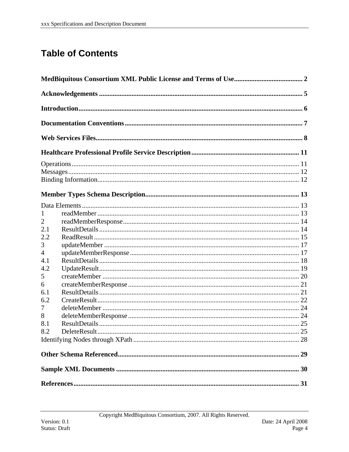# **Table of Contents**

| 1   |  |
|-----|--|
| 2   |  |
| 2.1 |  |
| 2.2 |  |
| 3   |  |
| 4   |  |
| 4.1 |  |
| 4.2 |  |
| 5   |  |
| 6   |  |
| 6.1 |  |
| 6.2 |  |
| 7   |  |
| 8   |  |
| 8.1 |  |
| 8.2 |  |
|     |  |
|     |  |
|     |  |
|     |  |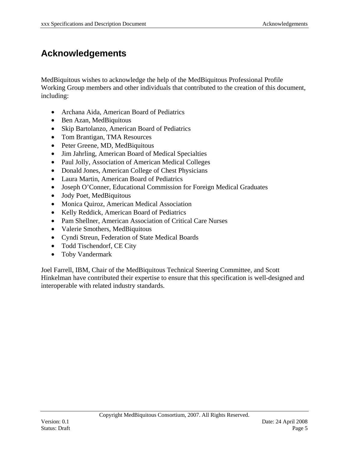## <span id="page-4-0"></span>**Acknowledgements**

MedBiquitous wishes to acknowledge the help of the MedBiquitous Professional Profile Working Group members and other individuals that contributed to the creation of this document, including:

- Archana Aida, American Board of Pediatrics
- Ben Azan, MedBiquitous
- Skip Bartolanzo, American Board of Pediatrics
- Tom Brantigan, TMA Resources
- Peter Greene, MD, MedBiquitous
- Jim Jahrling, American Board of Medical Specialties
- Paul Jolly, Association of American Medical Colleges
- Donald Jones, American College of Chest Physicians
- Laura Martin, American Board of Pediatrics
- Joseph O'Conner, Educational Commission for Foreign Medical Graduates
- Jody Poet, MedBiquitous
- Monica Quiroz, American Medical Association
- Kelly Reddick, American Board of Pediatrics
- Pam Shellner, American Association of Critical Care Nurses
- Valerie Smothers, MedBiquitous
- Cyndi Streun, Federation of State Medical Boards
- Todd Tischendorf, CE City
- Toby Vandermark

Joel Farrell, IBM, Chair of the MedBiquitous Technical Steering Committee, and Scott Hinkelman have contributed their expertise to ensure that this specification is well-designed and interoperable with related industry standards.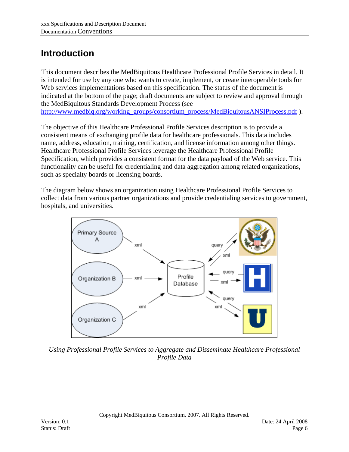# <span id="page-5-0"></span>**Introduction**

This document describes the MedBiquitous Healthcare Professional Profile Services in detail. It is intended for use by any one who wants to create, implement, or create interoperable tools for Web services implementations based on this specification. The status of the document is indicated at the bottom of the page; draft documents are subject to review and approval through the MedBiquitous Standards Development Process (see

[http://www.medbiq.org/working\\_groups/consortium\\_process/MedBiquitousANSIProcess.pdf](http://www.medbiq.org/working_groups/consortium_process/MedBiquitousANSIProcess.pdf) ).

The objective of this Healthcare Professional Profile Services description is to provide a consistent means of exchanging profile data for healthcare professionals. This data includes name, address, education, training, certification, and license information among other things. Healthcare Professional Profile Services leverage the Healthcare Professional Profile Specification, which provides a consistent format for the data payload of the Web service. This functionality can be useful for credentialing and data aggregation among related organizations, such as specialty boards or licensing boards.

The diagram below shows an organization using Healthcare Professional Profile Services to collect data from various partner organizations and provide credentialing services to government, hospitals, and universities.



*Using Professional Profile Services to Aggregate and Disseminate Healthcare Professional Profile Data*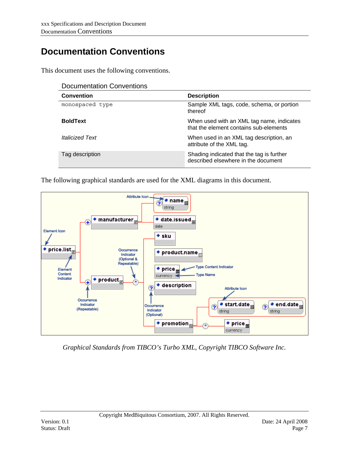# <span id="page-6-0"></span>**Documentation Conventions**

This document uses the following conventions.

| <b>Documentation Conventions</b> |  |
|----------------------------------|--|
|----------------------------------|--|

| <b>Convention</b>             | <b>Description</b>                                                                  |
|-------------------------------|-------------------------------------------------------------------------------------|
| monospaced type               | Sample XML tags, code, schema, or portion<br>thereof                                |
| <b>BoldText</b>               | When used with an XML tag name, indicates<br>that the element contains sub-elements |
| <i><b>Italicized Text</b></i> | When used in an XML tag description, an<br>attribute of the XML tag.                |
| Tag description               | Shading indicated that the tag is further<br>described elsewhere in the document    |

The following graphical standards are used for the XML diagrams in this document.



*Graphical Standards from TIBCO's Turbo XML, Copyright TIBCO Software Inc.*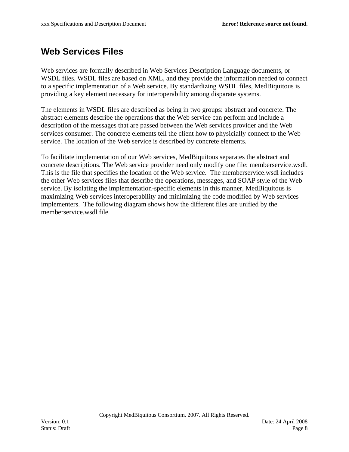## <span id="page-7-0"></span>**Web Services Files**

Web services are formally described in Web Services Description Language documents, or WSDL files. WSDL files are based on XML, and they provide the information needed to connect to a specific implementation of a Web service. By standardizing WSDL files, MedBiquitous is providing a key element necessary for interoperability among disparate systems.

The elements in WSDL files are described as being in two groups: abstract and concrete. The abstract elements describe the operations that the Web service can perform and include a description of the messages that are passed between the Web services provider and the Web services consumer. The concrete elements tell the client how to physicially connect to the Web service. The location of the Web service is described by concrete elements.

To facilitate implementation of our Web services, MedBiquitous separates the abstract and concrete descriptions. The Web service provider need only modify one file: memberservice.wsdl. This is the file that specifies the location of the Web service. The memberservice.wsdl includes the other Web services files that describe the operations, messages, and SOAP style of the Web service. By isolating the implementation-specific elements in this manner, MedBiquitous is maximizing Web services interoperability and minimizing the code modified by Web services implementers. The following diagram shows how the different files are unified by the memberservice.wsdl file.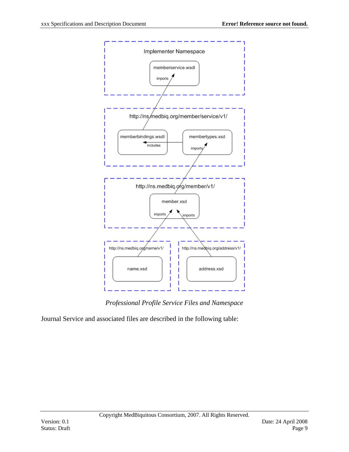

*Professional Profile Service Files and Namespace* 

Journal Service and associated files are described in the following table: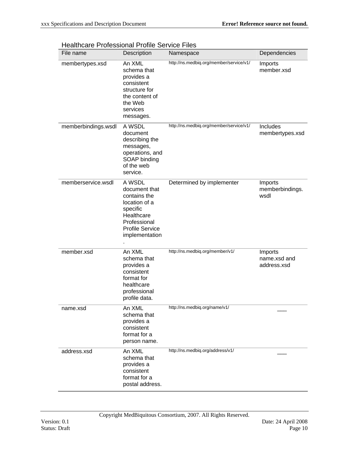| File name           | Description                                                                                                                                    | Namespace                               | Dependencies                           |
|---------------------|------------------------------------------------------------------------------------------------------------------------------------------------|-----------------------------------------|----------------------------------------|
| membertypes.xsd     | An XML<br>schema that<br>provides a<br>consistent<br>structure for<br>the content of<br>the Web<br>services<br>messages.                       | http://ns.medbiq.org/member/service/v1/ | Imports<br>member.xsd                  |
| memberbindings.wsdl | A WSDL<br>document<br>describing the<br>messages,<br>operations, and<br>SOAP binding<br>of the web<br>service.                                 | http://ns.medbiq.org/member/service/v1/ | Includes<br>membertypes.xsd            |
| memberservice.wsdl  | A WSDL<br>document that<br>contains the<br>location of a<br>specific<br>Healthcare<br>Professional<br><b>Profile Service</b><br>implementation | Determined by implementer               | Imports<br>memberbindings.<br>wsdl     |
| member.xsd          | An XML<br>schema that<br>provides a<br>consistent<br>format for<br>healthcare<br>professional<br>profile data.                                 | http://ns.medbiq.org/member/v1/         | Imports<br>name.xsd and<br>address.xsd |
| name.xsd            | An XML<br>schema that<br>provides a<br>consistent<br>format for a<br>person name.                                                              | http://ns.medbiq.org/name/v1/           |                                        |
| address.xsd         | An XML<br>schema that<br>provides a<br>consistent<br>format for a<br>postal address.                                                           | http://ns.medbiq.org/address/v1/        |                                        |

#### Healthcare Professional Profile Service Files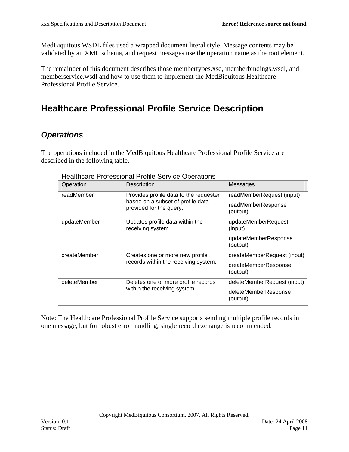<span id="page-10-0"></span>MedBiquitous WSDL files used a wrapped document literal style. Message contents may be validated by an XML schema, and request messages use the operation name as the root element.

The remainder of this document describes those membertypes.xsd, memberbindings.wsdl, and memberservice.wsdl and how to use them to implement the MedBiquitous Healthcare Professional Profile Service.

# **Healthcare Professional Profile Service Description**

## *Operations*

The operations included in the MedBiquitous Healthcare Professional Profile Service are described in the following table.

| Operation    | Description                                                  | Messages                         |
|--------------|--------------------------------------------------------------|----------------------------------|
| readMember   | Provides profile data to the requester                       | readMemberRequest (input)        |
|              | based on a subset of profile data<br>provided for the query. | readMemberResponse<br>(output)   |
| updateMember | Updates profile data within the<br>receiving system.         | updateMemberRequest<br>(input)   |
|              |                                                              | updateMemberResponse<br>(output) |
| createMember | Creates one or more new profile                              | createMemberRequest (input)      |
|              | records within the receiving system.                         | createMemberResponse<br>(output) |
| deleteMember | Deletes one or more profile records                          | deleteMemberRequest (input)      |
|              | within the receiving system.                                 | deleteMemberResponse<br>(output) |

Healthcare Professional Profile Service Operations

Note: The Healthcare Professional Profile Service supports sending multiple profile records in one message, but for robust error handling, single record exchange is recommended.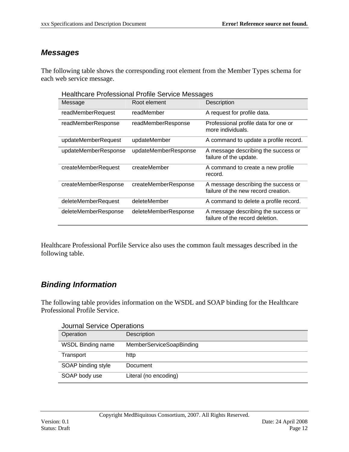### <span id="page-11-0"></span>*Messages*

The following table shows the corresponding root element from the Member Types schema for each web service message.

Healthcare Professional Profile Service Messages

| Message              | Root element         | Description                                                                |
|----------------------|----------------------|----------------------------------------------------------------------------|
| readMemberRequest    | readMember           | A request for profile data.                                                |
| readMemberResponse   | readMemberResponse   | Professional profile data for one or<br>more individuals.                  |
| updateMemberRequest  | updateMember         | A command to update a profile record.                                      |
| updateMemberResponse | updateMemberResponse | A message describing the success or<br>failure of the update.              |
| createMemberRequest  | createMember         | A command to create a new profile<br>record.                               |
| createMemberResponse | createMemberResponse | A message describing the success or<br>failure of the new record creation. |
| deleteMemberRequest  | deleteMember         | A command to delete a profile record.                                      |
| deleteMemberResponse | deleteMemberResponse | A message describing the success or<br>failure of the record deletion.     |

Healthcare Professional Porfile Service also uses the common fault messages described in the following table.

### *Binding Information*

The following table provides information on the WSDL and SOAP binding for the Healthcare Professional Profile Service.

| Operation                | <b>Journal Service Operations</b><br>Description |
|--------------------------|--------------------------------------------------|
| <b>WSDL Binding name</b> | <b>MemberServiceSoapBinding</b>                  |
| Transport                | http                                             |
| SOAP binding style       | Document                                         |
| SOAP body use            | Literal (no encoding)                            |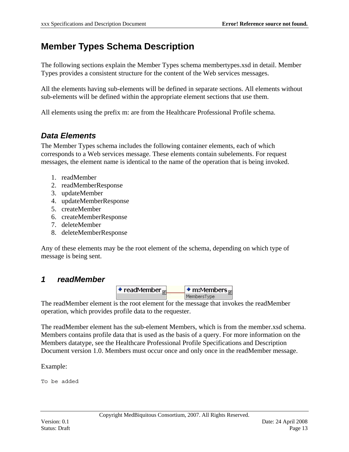## <span id="page-12-0"></span>**Member Types Schema Description**

The following sections explain the Member Types schema membertypes.xsd in detail. Member Types provides a consistent structure for the content of the Web services messages.

All the elements having sub-elements will be defined in separate sections. All elements without sub-elements will be defined within the appropriate element sections that use them.

All elements using the prefix m: are from the Healthcare Professional Profile schema.

### *Data Elements*

The Member Types schema includes the following container elements, each of which corresponds to a Web services message. These elements contain subelements. For request messages, the element name is identical to the name of the operation that is being invoked.

- 1. readMember
- 2. readMemberResponse
- 3. updateMember
- 4. updateMemberResponse
- 5. createMember
- 6. createMemberResponse
- 7. deleteMember
- 8. deleteMemberResponse

Any of these elements may be the root element of the schema, depending on which type of message is being sent.

### *1 readMember*



The readMember element is the root element for the message that invokes the readMember operation, which provides profile data to the requester.

The readMember element has the sub-element Members, which is from the member.xsd schema. Members contains profile data that is used as the basis of a query. For more information on the Members datatype, see the Healthcare Professional Profile Specifications and Description Document version 1.0. Members must occur once and only once in the readMember message.

Example:

To be added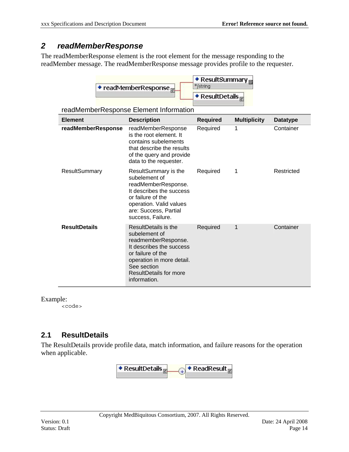### <span id="page-13-0"></span>*2 readMemberResponse*

The readMemberResponse element is the root element for the message responding to the readMember message. The readMemberResponse message provides profile to the requester.



readMemberResponse Element Information

| <b>Element</b>       | <b>Description</b>                                                                                                                                                                                         | <b>Required</b> | <b>Multiplicity</b> | <b>Datatype</b> |
|----------------------|------------------------------------------------------------------------------------------------------------------------------------------------------------------------------------------------------------|-----------------|---------------------|-----------------|
| readMemberResponse   | readMemberResponse<br>is the root element. It<br>contains subelements<br>that describe the results<br>of the query and provide<br>data to the requester.                                                   | Required        | 1                   | Container       |
| <b>ResultSummary</b> | ResultSummary is the<br>subelement of<br>readMemberResponse.<br>It describes the success<br>or failure of the<br>operation. Valid values<br>are: Success, Partial<br>success, Failure.                     | Required        | 1                   | Restricted      |
| <b>ResultDetails</b> | ResultDetails is the<br>subelement of<br>readmemberResponse.<br>It describes the success<br>or failure of the<br>operation in more detail.<br>See section<br><b>ResultDetails for more</b><br>information. | Required        | 1                   | Container       |

Example:

<code></code>

### **2.1 ResultDetails**

The ResultDetails provide profile data, match information, and failure reasons for the operation when applicable.

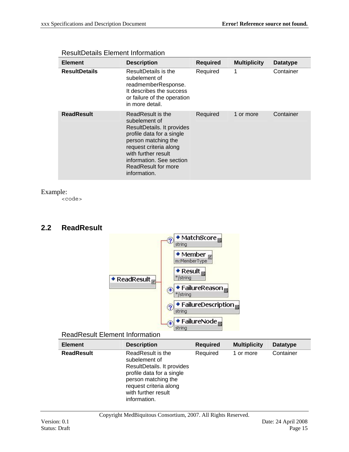| <b>Element</b>       | <b>Description</b>                                                                                                                                                                                                                       | <b>Required</b> | <b>Multiplicity</b> | <b>Datatype</b> |
|----------------------|------------------------------------------------------------------------------------------------------------------------------------------------------------------------------------------------------------------------------------------|-----------------|---------------------|-----------------|
| <b>ResultDetails</b> | ResultDetails is the<br>subelement of<br>readmemberResponse.<br>It describes the success<br>or failure of the operation<br>in more detail.                                                                                               | Required        | 1                   | Container       |
| <b>ReadResult</b>    | ReadResult is the<br>subelement of<br>ResultDetails. It provides<br>profile data for a single<br>person matching the<br>request criteria along<br>with further result<br>information. See section<br>ReadResult for more<br>information. | Required        | 1 or more           | Container       |

#### <span id="page-14-0"></span>ResultDetails Element Information

#### Example:

<code></code>

#### **2.2 ReadResult**



#### ReadResult Element Information

| <b>Element</b>    | <b>Description</b>                                                                                                                                                                    | <b>Required</b> | <b>Multiplicity</b> | Datatype  |
|-------------------|---------------------------------------------------------------------------------------------------------------------------------------------------------------------------------------|-----------------|---------------------|-----------|
| <b>ReadResult</b> | ReadResult is the<br>subelement of<br>ResultDetails. It provides<br>profile data for a single<br>person matching the<br>request criteria along<br>with further result<br>information. | Required        | 1 or more           | Container |

Copyright MedBiquitous Consortium, 2007. All Rights Reserved.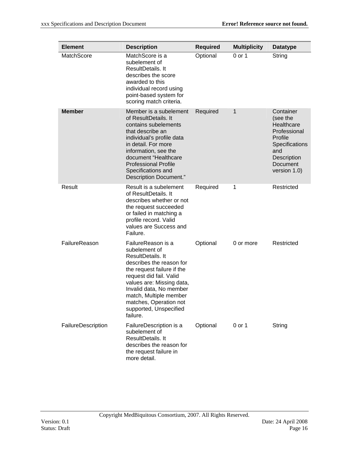| <b>Element</b>     | <b>Description</b>                                                                                                                                                                                                                                                                              | <b>Required</b> | <b>Multiplicity</b> | <b>Datatype</b>                                                                                                                    |
|--------------------|-------------------------------------------------------------------------------------------------------------------------------------------------------------------------------------------------------------------------------------------------------------------------------------------------|-----------------|---------------------|------------------------------------------------------------------------------------------------------------------------------------|
| <b>MatchScore</b>  | MatchScore is a<br>subelement of<br>ResultDetails. It<br>describes the score<br>awarded to this<br>individual record using<br>point-based system for<br>scoring match criteria.                                                                                                                 | Optional        | 0 or 1              | String                                                                                                                             |
| <b>Member</b>      | Member is a subelement<br>of ResultDetails. It<br>contains subelements<br>that describe an<br>individual's profile data<br>in detail. For more<br>information, see the<br>document "Healthcare<br><b>Professional Profile</b><br>Specifications and<br>Description Document."                   | Required        | 1                   | Container<br>(see the<br>Healthcare<br>Professional<br>Profile<br>Specifications<br>and<br>Description<br>Document<br>version 1.0) |
| Result             | Result is a subelement<br>of ResultDetails. It<br>describes whether or not<br>the request succeeded<br>or failed in matching a<br>profile record. Valid<br>values are Success and<br>Failure.                                                                                                   | Required        | 1                   | Restricted                                                                                                                         |
| FailureReason      | FailureReason is a<br>subelement of<br>ResultDetails. It<br>describes the reason for<br>the request failure if the<br>request did fail. Valid<br>values are: Missing data,<br>Invalid data, No member<br>match, Multiple member<br>matches, Operation not<br>supported, Unspecified<br>failure. | Optional        | 0 or more           | Restricted                                                                                                                         |
| FailureDescription | FailureDescription is a<br>subelement of<br>ResultDetails. It<br>describes the reason for<br>the request failure in<br>more detail.                                                                                                                                                             | Optional        | 0 or 1              | String                                                                                                                             |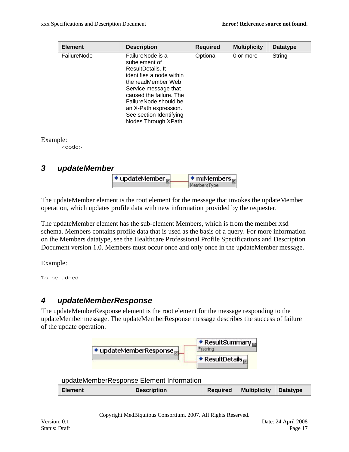<span id="page-16-0"></span>

| <b>Element</b> | <b>Description</b>                                                                                                                                                                                                                                              | <b>Required</b> | <b>Multiplicity</b> | <b>Datatype</b> |
|----------------|-----------------------------------------------------------------------------------------------------------------------------------------------------------------------------------------------------------------------------------------------------------------|-----------------|---------------------|-----------------|
| FailureNode    | FailureNode is a<br>subelement of<br>ResultDetails It<br>identifies a node within<br>the readMember Web<br>Service message that<br>caused the failure. The<br>FailureNode should be<br>an X-Path expression.<br>See section Identifying<br>Nodes Through XPath. | Optional        | 0 or more           | String          |

Example:

<code></code>

### *3 updateMember*

| $\bullet$ updateMember | $\bullet$ m:Members |
|------------------------|---------------------|
|                        | wembersTyne         |

The updateMember element is the root element for the message that invokes the updateMember operation, which updates profile data with new information provided by the requester.

The updateMember element has the sub-element Members, which is from the member.xsd schema. Members contains profile data that is used as the basis of a query. For more information on the Members datatype, see the Healthcare Professional Profile Specifications and Description Document version 1.0. Members must occur once and only once in the updateMember message.

Example:

To be added

## *4 updateMemberResponse*

The updateMemberResponse element is the root element for the message responding to the updateMember message. The updateMemberResponse message describes the success of failure of the update operation.



updateMemberResponse Element Information

| <b>Required Multiplicity Datatype</b><br><b>Description</b> |
|-------------------------------------------------------------|
|-------------------------------------------------------------|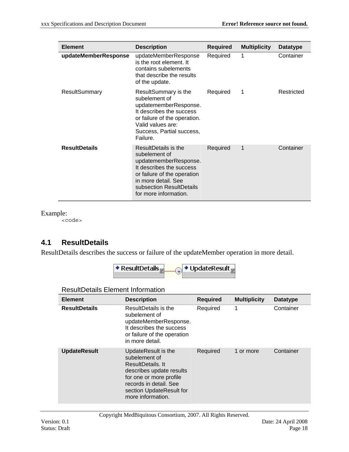<span id="page-17-0"></span>

| <b>Element</b>       | <b>Description</b>                                                                                                                                                                                           | <b>Required</b> | <b>Multiplicity</b> | <b>Datatype</b> |
|----------------------|--------------------------------------------------------------------------------------------------------------------------------------------------------------------------------------------------------------|-----------------|---------------------|-----------------|
| updateMemberResponse | updateMemberResponse<br>is the root element. It<br>contains subelements<br>that describe the results<br>of the update.                                                                                       | Required        | 1                   | Container       |
| ResultSummary        | ResultSummary is the<br>subelement of<br>updatememberResponse.<br>It describes the success<br>or failure of the operation.<br>Valid values are:<br>Success, Partial success,<br>Failure.                     | Required        | 1                   | Restricted      |
| <b>ResultDetails</b> | <b>ResultDetails is the</b><br>subelement of<br>updatememberResponse.<br>It describes the success<br>or failure of the operation<br>in more detail. See<br>subsection ResultDetails<br>for more information. | Required        | 1                   | Container       |

Example:

<code></code>

### **4.1 ResultDetails**

ResultDetails describes the success or failure of the updateMember operation in more detail.



| <b>Element</b>       | <b>Description</b>                                                                                                                                                                          | <b>Required</b> | <b>Multiplicity</b> | <b>Datatype</b> |
|----------------------|---------------------------------------------------------------------------------------------------------------------------------------------------------------------------------------------|-----------------|---------------------|-----------------|
| <b>ResultDetails</b> | ResultDetails is the<br>subelement of<br>updateMemberResponse.<br>It describes the success<br>or failure of the operation<br>in more detail.                                                | Required        | 1                   | Container       |
| <b>UpdateResult</b>  | UpdateResult is the<br>subelement of<br>ResultDetails. It<br>describes update results<br>for one or more profile<br>records in detail. See<br>section UpdateResult for<br>more information. | Required        | 1 or more           | Container       |

ResultDetails Element Information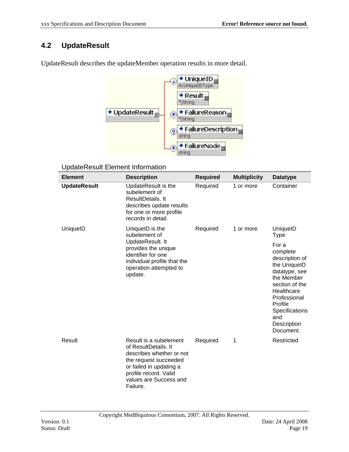### <span id="page-18-0"></span>**4.2 UpdateResult**



UpdateResult describes the updateMember operation results in more detail.

#### UpdateResult Element Information

| <b>Element</b>      | <b>Description</b>                                                                                                                                                                            | <b>Required</b> | <b>Multiplicity</b> | <b>Datatype</b>                                                                                                                                                                                    |
|---------------------|-----------------------------------------------------------------------------------------------------------------------------------------------------------------------------------------------|-----------------|---------------------|----------------------------------------------------------------------------------------------------------------------------------------------------------------------------------------------------|
| <b>UpdateResult</b> | UpdateResult is the<br>subelement of<br>ResultDetails, It<br>describes update results<br>for one or more profile<br>records in detail.                                                        | Required        | 1 or more           | Container                                                                                                                                                                                          |
| UniquelD            | UniquelD is the<br>subelement of                                                                                                                                                              | Required        | 1 or more           | UniquelD<br><b>Type</b>                                                                                                                                                                            |
|                     | UpdateResult. It<br>provides the unique<br>identifier for one<br>individual profile that the<br>operation attempted to<br>update.                                                             |                 |                     | For a<br>complete<br>description of<br>the UniquelD<br>datatype, see<br>the Member<br>section of the<br>Healthcare<br>Professional<br>Profile<br>Specifications<br>and<br>Description<br>Document. |
| Result              | Result is a subelement<br>of ResultDetails. It<br>describes whether or not<br>the request succeeded<br>or failed in updating a<br>profile record. Valid<br>values are Success and<br>Failure. | Required        | 1                   | Restricted                                                                                                                                                                                         |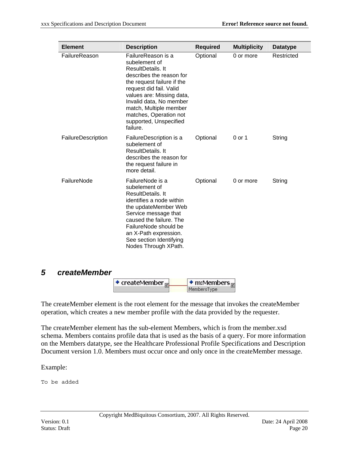<span id="page-19-0"></span>

| <b>Element</b>     | <b>Description</b>                                                                                                                                                                                                                                                                              | <b>Required</b> | <b>Multiplicity</b> | <b>Datatype</b> |
|--------------------|-------------------------------------------------------------------------------------------------------------------------------------------------------------------------------------------------------------------------------------------------------------------------------------------------|-----------------|---------------------|-----------------|
| FailureReason      | FailureReason is a<br>subelement of<br>ResultDetails. It<br>describes the reason for<br>the request failure if the<br>request did fail. Valid<br>values are: Missing data,<br>Invalid data, No member<br>match, Multiple member<br>matches, Operation not<br>supported, Unspecified<br>failure. | Optional        | 0 or more           | Restricted      |
| FailureDescription | FailureDescription is a<br>subelement of<br>ResultDetails. It<br>describes the reason for<br>the request failure in<br>more detail.                                                                                                                                                             | Optional        | 0 or 1              | String          |
| FailureNode        | FailureNode is a<br>subelement of<br>ResultDetails. It<br>identifies a node within<br>the updateMember Web<br>Service message that<br>caused the failure. The<br>FailureNode should be<br>an X-Path expression.<br>See section Identifying<br>Nodes Through XPath.                              | Optional        | 0 or more           | String          |

#### *5 createMember*

| $\bullet$ createMember | $\bullet$ m:Members |  |  |
|------------------------|---------------------|--|--|
|                        | MembersType         |  |  |

The createMember element is the root element for the message that invokes the createMember operation, which creates a new member profile with the data provided by the requester.

The createMember element has the sub-element Members, which is from the member.xsd schema. Members contains profile data that is used as the basis of a query. For more information on the Members datatype, see the Healthcare Professional Profile Specifications and Description Document version 1.0. Members must occur once and only once in the createMember message.

Example:

To be added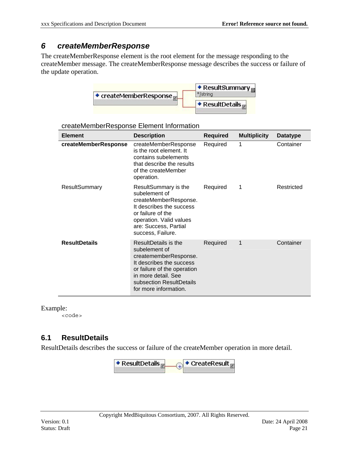### <span id="page-20-0"></span>*6 createMemberResponse*

The createMemberResponse element is the root element for the message responding to the createMember message. The createMemberResponse message describes the success or failure of the update operation.



| <b>Element</b>       | <b>Description</b>                                                                                                                                                                                    | <b>Required</b> | <b>Multiplicity</b> | <b>Datatype</b> |
|----------------------|-------------------------------------------------------------------------------------------------------------------------------------------------------------------------------------------------------|-----------------|---------------------|-----------------|
| createMemberResponse | createMemberResponse<br>is the root element. It<br>contains subelements<br>that describe the results<br>of the createMember<br>operation.                                                             | Required        | 1                   | Container       |
| ResultSummary        | ResultSummary is the<br>subelement of<br>createMemberResponse.<br>It describes the success<br>or failure of the<br>operation. Valid values<br>are: Success, Partial<br>success, Failure.              | Required        | 1                   | Restricted      |
| <b>ResultDetails</b> | ResultDetails is the<br>subelement of<br>creatememberResponse.<br>It describes the success<br>or failure of the operation<br>in more detail. See<br>subsection ResultDetails<br>for more information. | Required        | 1                   | Container       |

createMemberResponse Element Information

Example:

<code></code>

#### **6.1 ResultDetails**

ResultDetails describes the success or failure of the createMember operation in more detail.

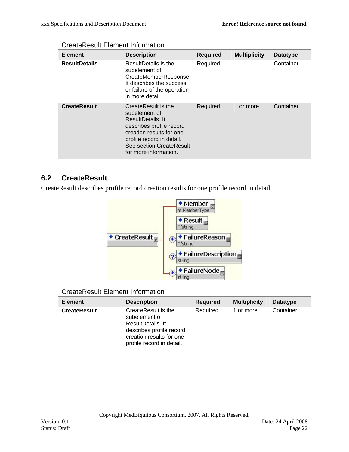| <b>Element</b>       | <b>Description</b>                                                                                                                                                                                  | <b>Required</b> | <b>Multiplicity</b> | <b>Datatype</b> |
|----------------------|-----------------------------------------------------------------------------------------------------------------------------------------------------------------------------------------------------|-----------------|---------------------|-----------------|
| <b>ResultDetails</b> | ResultDetails is the<br>subelement of<br>CreateMemberResponse.<br>It describes the success<br>or failure of the operation<br>in more detail.                                                        | Required        | 1                   | Container       |
| <b>CreateResult</b>  | CreateResult is the<br>subelement of<br>ResultDetails. It<br>describes profile record<br>creation results for one<br>profile record in detail.<br>See section CreateResult<br>for more information. | Required        | 1 or more           | Container       |

#### <span id="page-21-0"></span>CreateResult Element Information

### **6.2 CreateResult**

CreateResult describes profile record creation results for one profile record in detail.



#### CreateResult Element Information

| <b>Element</b>      | <b>Description</b>                                                                                                                             | <b>Required</b> | <b>Multiplicity</b> | <b>Datatype</b> |
|---------------------|------------------------------------------------------------------------------------------------------------------------------------------------|-----------------|---------------------|-----------------|
| <b>CreateResult</b> | CreateResult is the<br>subelement of<br>ResultDetails. It<br>describes profile record<br>creation results for one<br>profile record in detail. | Required        | 1 or more           | Container       |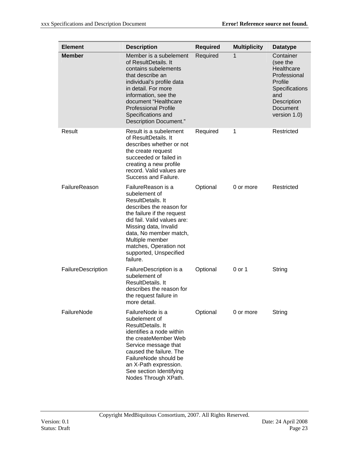| <b>Element</b>     | <b>Description</b>                                                                                                                                                                                                                                                                      | <b>Required</b> | <b>Multiplicity</b> | <b>Datatype</b>                                                                                                                    |
|--------------------|-----------------------------------------------------------------------------------------------------------------------------------------------------------------------------------------------------------------------------------------------------------------------------------------|-----------------|---------------------|------------------------------------------------------------------------------------------------------------------------------------|
| <b>Member</b>      | Member is a subelement<br>of ResultDetails. It<br>contains subelements<br>that describe an<br>individual's profile data<br>in detail. For more<br>information, see the<br>document "Healthcare<br><b>Professional Profile</b><br>Specifications and<br>Description Document."           | Required        | 1                   | Container<br>(see the<br>Healthcare<br>Professional<br>Profile<br>Specifications<br>and<br>Description<br>Document<br>version 1.0) |
| Result             | Result is a subelement<br>of ResultDetails. It<br>describes whether or not<br>the create request<br>succeeded or failed in<br>creating a new profile<br>record. Valid values are<br>Success and Failure.                                                                                | Required        | 1                   | Restricted                                                                                                                         |
| FailureReason      | FailureReason is a<br>subelement of<br>ResultDetails. It<br>describes the reason for<br>the failure if the request<br>did fail. Valid values are:<br>Missing data, Invalid<br>data, No member match,<br>Multiple member<br>matches, Operation not<br>supported, Unspecified<br>failure. | Optional        | 0 or more           | Restricted                                                                                                                         |
| FailureDescription | FailureDescription is a<br>subelement of<br>ResultDetails. It<br>describes the reason for<br>the request failure in<br>more detail.                                                                                                                                                     | Optional        | 0 or 1              | String                                                                                                                             |
| FailureNode        | FailureNode is a<br>subelement of<br>ResultDetails. It<br>identifies a node within<br>the createMember Web<br>Service message that<br>caused the failure. The<br>FailureNode should be<br>an X-Path expression.<br>See section Identifying<br>Nodes Through XPath.                      | Optional        | 0 or more           | String                                                                                                                             |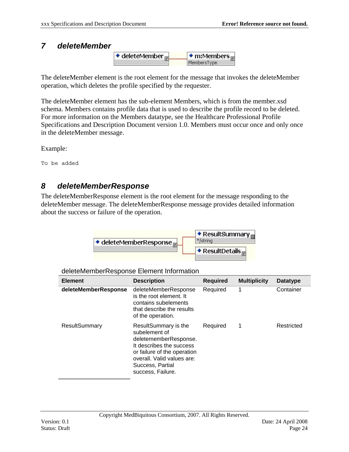#### <span id="page-23-0"></span>*7 deleteMember*



The deleteMember element is the root element for the message that invokes the deleteMember operation, which deletes the profile specified by the requester.

The deleteMember element has the sub-element Members, which is from the member.xsd schema. Members contains profile data that is used to describe the profile record to be deleted. For more information on the Members datatype, see the Healthcare Professional Profile Specifications and Description Document version 1.0. Members must occur once and only once in the deleteMember message.

Example:

To be added

### *8 deleteMemberResponse*

The deleteMemberResponse element is the root element for the message responding to the deleteMember message. The deleteMemberResponse message provides detailed information about the success or failure of the operation.



deleteMemberResponse Element Information

| <b>Element</b>       | <b>Description</b>                                                                                                                                                                               | <b>Required</b> | <b>Multiplicity</b> | <b>Datatype</b> |
|----------------------|--------------------------------------------------------------------------------------------------------------------------------------------------------------------------------------------------|-----------------|---------------------|-----------------|
| deleteMemberResponse | deleteMemberResponse<br>is the root element. It<br>contains subelements<br>that describe the results<br>of the operation.                                                                        | Required        | 1                   | Container       |
| <b>ResultSummary</b> | ResultSummary is the<br>subelement of<br>deletememberResponse.<br>It describes the success<br>or failure of the operation<br>overall. Valid values are:<br>Success, Partial<br>success, Failure. | Required        | 1                   | Restricted      |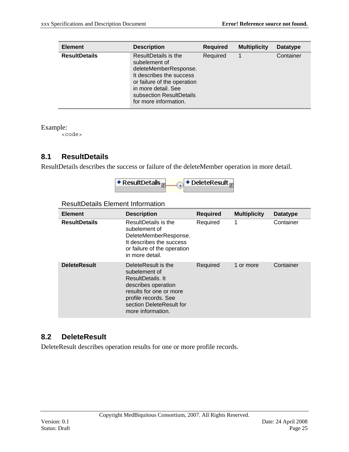<span id="page-24-0"></span>

| <b>Element</b>       | <b>Description</b>                                                                                                                                                                                    | <b>Required</b> | <b>Multiplicity</b> | <b>Datatype</b> |
|----------------------|-------------------------------------------------------------------------------------------------------------------------------------------------------------------------------------------------------|-----------------|---------------------|-----------------|
| <b>ResultDetails</b> | ResultDetails is the<br>subelement of<br>deleteMemberResponse.<br>It describes the success<br>or failure of the operation<br>in more detail. See<br>subsection ResultDetails<br>for more information. | Required        |                     | Container       |

Example:

<code></code>

### **8.1 ResultDetails**

ResultDetails describes the success or failure of the deleteMember operation in more detail.

| $\star$ ResultDetails, | DeleteResult <sub>E</sub> |
|------------------------|---------------------------|
|                        |                           |

| <b>Element</b>       | <b>Description</b>                                                                                                                                                                   | <b>Required</b> | <b>Multiplicity</b> | <b>Datatype</b> |
|----------------------|--------------------------------------------------------------------------------------------------------------------------------------------------------------------------------------|-----------------|---------------------|-----------------|
| <b>ResultDetails</b> | ResultDetails is the<br>subelement of<br>DeleteMemberResponse.<br>It describes the success<br>or failure of the operation<br>in more detail.                                         | Required        | 1                   | Container       |
| <b>DeleteResult</b>  | DeleteResult is the<br>subelement of<br>ResultDetails, It<br>describes operation<br>results for one or more<br>profile records. See<br>section DeleteResult for<br>more information. | Required        | 1 or more           | Container       |

#### ResultDetails Element Information

### **8.2 DeleteResult**

DeleteResult describes operation results for one or more profile records.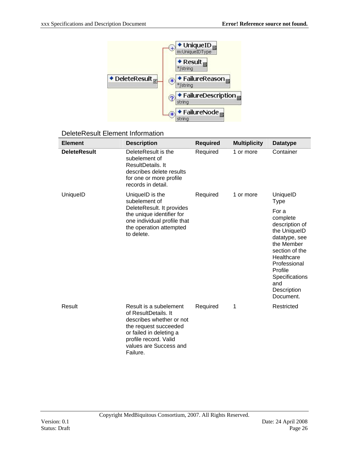

#### DeleteResult Element Information

| <b>Element</b>      | <b>Description</b>                                                                                                                                                                            | <b>Required</b> | <b>Multiplicity</b> | <b>Datatype</b>                                                                                                                                                                                           |
|---------------------|-----------------------------------------------------------------------------------------------------------------------------------------------------------------------------------------------|-----------------|---------------------|-----------------------------------------------------------------------------------------------------------------------------------------------------------------------------------------------------------|
| <b>DeleteResult</b> | DeleteResult is the<br>subelement of<br>ResultDetails. It<br>describes delete results<br>for one or more profile<br>records in detail.                                                        | Required        | 1 or more           | Container                                                                                                                                                                                                 |
| UniquelD            | UniquelD is the<br>subelement of                                                                                                                                                              | Required        | 1 or more           | UniquelD<br><b>Type</b>                                                                                                                                                                                   |
|                     | DeleteResult. It provides<br>the unique identifier for<br>one individual profile that<br>the operation attempted<br>to delete.                                                                |                 |                     | For a<br>complete<br>description of<br>the UniquelD<br>datatype, see<br>the Member<br>section of the<br>Healthcare<br>Professional<br>Profile<br><b>Specifications</b><br>and<br>Description<br>Document. |
| Result              | Result is a subelement<br>of ResultDetails. It<br>describes whether or not<br>the request succeeded<br>or failed in deleting a<br>profile record. Valid<br>values are Success and<br>Failure. | Required        | 1                   | Restricted                                                                                                                                                                                                |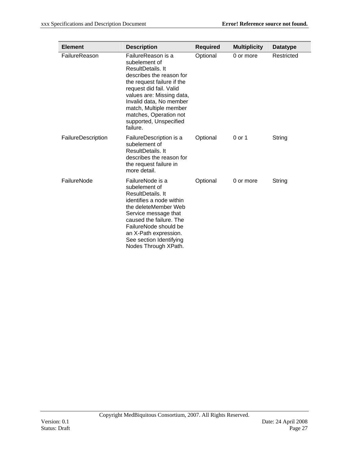| <b>Element</b>     | <b>Description</b>                                                                                                                                                                                                                                                                              | <b>Required</b> | <b>Multiplicity</b> | <b>Datatype</b> |
|--------------------|-------------------------------------------------------------------------------------------------------------------------------------------------------------------------------------------------------------------------------------------------------------------------------------------------|-----------------|---------------------|-----------------|
| FailureReason      | FailureReason is a<br>subelement of<br>ResultDetails. It<br>describes the reason for<br>the request failure if the<br>request did fail. Valid<br>values are: Missing data,<br>Invalid data, No member<br>match, Multiple member<br>matches, Operation not<br>supported, Unspecified<br>failure. | Optional        | 0 or more           | Restricted      |
| FailureDescription | FailureDescription is a<br>subelement of<br>ResultDetails. It<br>describes the reason for<br>the request failure in<br>more detail.                                                                                                                                                             | Optional        | 0 or 1              | String          |
| FailureNode        | FailureNode is a<br>subelement of<br>ResultDetails. It<br>identifies a node within<br>the deleteMember Web<br>Service message that<br>caused the failure. The<br>FailureNode should be<br>an X-Path expression.<br>See section Identifying<br>Nodes Through XPath.                              | Optional        | 0 or more           | String          |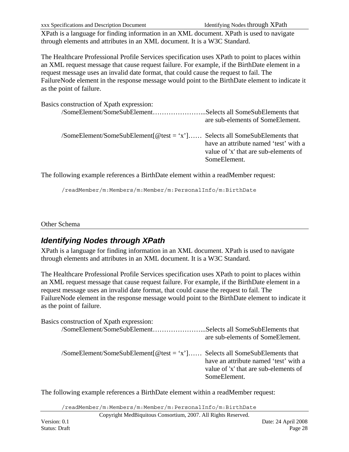<span id="page-27-0"></span>xxx Specifications and Description Document Identifying Nodes through XPath

XPath is a language for finding information in an XML document. XPath is used to navigate through elements and attributes in an XML document. It is a W3C Standard.

The Healthcare Professional Profile Services specification uses XPath to point to places within an XML request message that cause request failure. For example, if the BirthDate element in a request message uses an invalid date format, that could cause the request to fail. The FailureNode element in the response message would point to the BirthDate element to indicate it as the point of failure.

Basics construction of Xpath expression:

| /SomeElement/SomeSubElementSelects all SomeSubElements that                          | are sub-elements of SomeElement.                                                               |
|--------------------------------------------------------------------------------------|------------------------------------------------------------------------------------------------|
| $\gamma$ SomeElement/SomeSubElement $[@test = 'x']$ Selects all SomeSubElements that | have an attribute named 'test' with a<br>value of 'x' that are sub-elements of<br>SomeElement. |

The following example references a BirthDate element within a readMember request:

/readMember/m:Members/m:Member/m:PersonalInfo/m:BirthDate

#### Other Schema

## *Identifying Nodes through XPath*

XPath is a language for finding information in an XML document. XPath is used to navigate through elements and attributes in an XML document. It is a W3C Standard.

The Healthcare Professional Profile Services specification uses XPath to point to places within an XML request message that cause request failure. For example, if the BirthDate element in a request message uses an invalid date format, that could cause the request to fail. The FailureNode element in the response message would point to the BirthDate element to indicate it as the point of failure.

| Basics construction of Xpath expression:                                  |                                                                                                |
|---------------------------------------------------------------------------|------------------------------------------------------------------------------------------------|
| /SomeElement/SomeSubElementSelects all SomeSubElements that               | are sub-elements of SomeElement.                                                               |
| /SomeElement/SomeSubElement[@test = 'x'] Selects all SomeSubElements that | have an attribute named 'test' with a<br>value of 'x' that are sub-elements of<br>SomeElement. |

The following example references a BirthDate element within a readMember request:

/readMember/m:Members/m:Member/m:PersonalInfo/m:BirthDate

Copyright MedBiquitous Consortium, 2007. All Rights Reserved.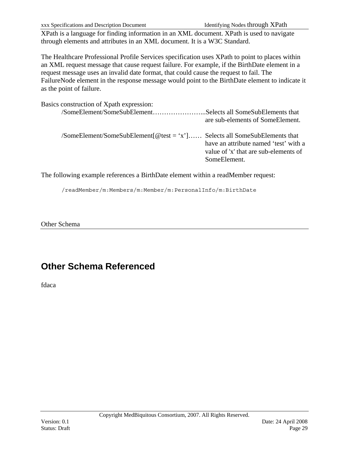<span id="page-28-0"></span>xxx Specifications and Description Document Identifying Nodes through XPath

XPath is a language for finding information in an XML document. XPath is used to navigate through elements and attributes in an XML document. It is a W3C Standard.

The Healthcare Professional Profile Services specification uses XPath to point to places within an XML request message that cause request failure. For example, if the BirthDate element in a request message uses an invalid date format, that could cause the request to fail. The FailureNode element in the response message would point to the BirthDate element to indicate it as the point of failure.

| Basics construction of Xpath expression:                                                                                     |                                                                                                |
|------------------------------------------------------------------------------------------------------------------------------|------------------------------------------------------------------------------------------------|
| /SomeElement/SomeSubElementSelects all SomeSubElements that                                                                  | are sub-elements of SomeElement.                                                               |
| $\gamma$ SomeElement/SomeSubElement $\lceil \omega \rceil$ test = 'x' $\lceil \dots \rceil$ Selects all SomeSubElements that | have an attribute named 'test' with a<br>value of 'x' that are sub-elements of<br>SomeElement. |

The following example references a BirthDate element within a readMember request:

/readMember/m:Members/m:Member/m:PersonalInfo/m:BirthDate

Other Schema

# **Other Schema Referenced**

fdaca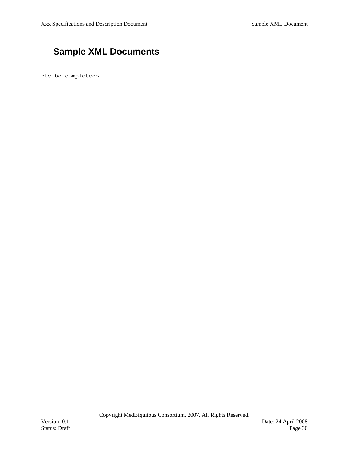## <span id="page-29-0"></span> **Sample XML Documents**

<to be completed>